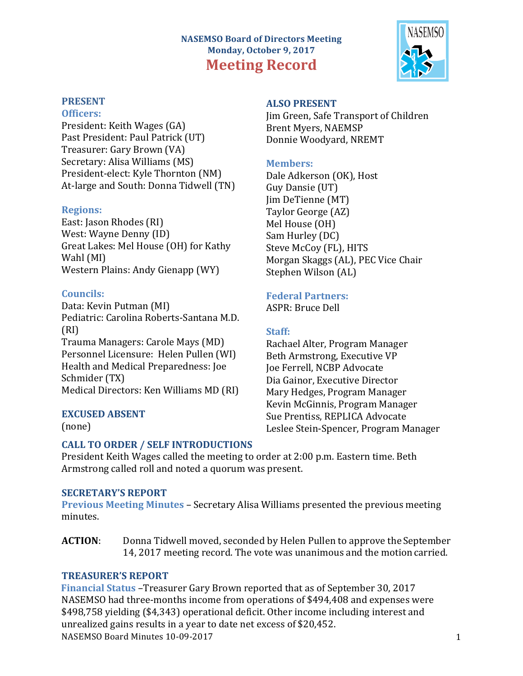# **NASEMSO Board of Directors Meeting** Monday, October 9, 2017 **Meeting Record**



### **PRESENT**

#### **Officers:**

President: Keith Wages (GA) Past President: Paul Patrick (UT) Treasurer: Gary Brown (VA) Secretary: Alisa Williams (MS) President-elect: Kyle Thornton (NM) At-large and South: Donna Tidwell (TN)

#### **Regions:**

East: Jason Rhodes (RI) West: Wayne Denny (ID) Great Lakes: Mel House (OH) for Kathy Wahl (MI) Western Plains: Andy Gienapp (WY)

## **Councils:**

Data: Kevin Putman (MI) Pediatric: Carolina Roberts-Santana M.D. (RI) Trauma Managers: Carole Mays (MD) Personnel Licensure: Helen Pullen (WI) Health and Medical Preparedness: Joe Schmider (TX)

Medical Directors: Ken Williams MD (RI)

# **EXCUSED ABSENT**

(none)

# **ALSO PRESENT**

Jim Green, Safe Transport of Children Brent Myers, NAEMSP Donnie Woodyard, NREMT

## **Members:**

Dale Adkerson (OK), Host Guy Dansie (UT) Iim DeTienne (MT) Taylor George (AZ) Mel House (OH) Sam Hurley (DC) Steve McCoy (FL), HITS Morgan Skaggs (AL), PEC Vice Chair Stephen Wilson (AL)

# **Federal Partners:**

ASPR: Bruce Dell

# **Staff:**

Rachael Alter, Program Manager Beth Armstrong, Executive VP **Joe Ferrell, NCBP Advocate** Dia Gainor, Executive Director Mary Hedges, Program Manager Kevin McGinnis, Program Manager Sue Prentiss, REPLICA Advocate Leslee Stein-Spencer, Program Manager

# **CALL TO ORDER / SELF INTRODUCTIONS**

President Keith Wages called the meeting to order at 2:00 p.m. Eastern time. Beth Armstrong called roll and noted a quorum was present.

# **SECRETARY'S REPORT**

**Previous Meeting Minutes – Secretary Alisa Williams presented the previous meeting** minutes.

**ACTION:** Donna Tidwell moved, seconded by Helen Pullen to approve the September 14, 2017 meeting record. The vote was unanimous and the motion carried.

# **TREASURER'S REPORT**

NASEMSO Board Minutes 10-09-2017 1 **Financial Status** –Treasurer Gary Brown reported that as of September 30, 2017 NASEMSO had three-months income from operations of \$494,408 and expenses were \$498,758 yielding (\$4,343) operational deficit. Other income including interest and unrealized gains results in a year to date net excess of \$20,452.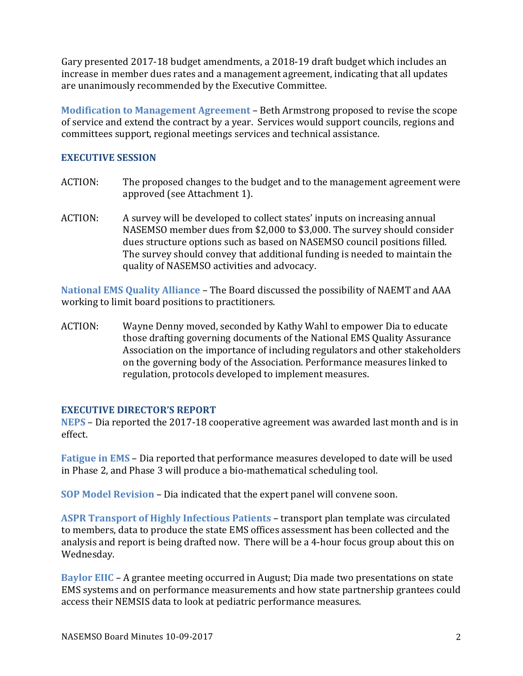Gary presented 2017-18 budget amendments, a 2018-19 draft budget which includes an increase in member dues rates and a management agreement, indicating that all updates are unanimously recommended by the Executive Committee.

**Modification to Management Agreement** – Beth Armstrong proposed to revise the scope of service and extend the contract by a year. Services would support councils, regions and committees support, regional meetings services and technical assistance.

#### **EXECUTIVE SESSION**

- ACTION: The proposed changes to the budget and to the management agreement were approved (see Attachment 1).
- ACTION: A survey will be developed to collect states' inputs on increasing annual NASEMSO member dues from \$2,000 to \$3,000. The survey should consider dues structure options such as based on NASEMSO council positions filled. The survey should convey that additional funding is needed to maintain the quality of NASEMSO activities and advocacy.

**National EMS Quality Alliance** – The Board discussed the possibility of NAEMT and AAA working to limit board positions to practitioners.

ACTION: Wayne Denny moved, seconded by Kathy Wahl to empower Dia to educate those drafting governing documents of the National EMS Quality Assurance Association on the importance of including regulators and other stakeholders on the governing body of the Association. Performance measures linked to regulation, protocols developed to implement measures.

#### **EXECUTIVE DIRECTOR'S REPORT**

**NEPS** – Dia reported the 2017-18 cooperative agreement was awarded last month and is in effect. 

**Fatigue in EMS** – Dia reported that performance measures developed to date will be used in Phase 2, and Phase 3 will produce a bio-mathematical scheduling tool.

**SOP Model Revision – Dia indicated that the expert panel will convene soon.** 

**ASPR Transport of Highly Infectious Patients – transport plan template was circulated** to members, data to produce the state EMS offices assessment has been collected and the analysis and report is being drafted now. There will be a 4-hour focus group about this on Wednesday.

**Baylor EIIC** – A grantee meeting occurred in August; Dia made two presentations on state EMS systems and on performance measurements and how state partnership grantees could access their NEMSIS data to look at pediatric performance measures.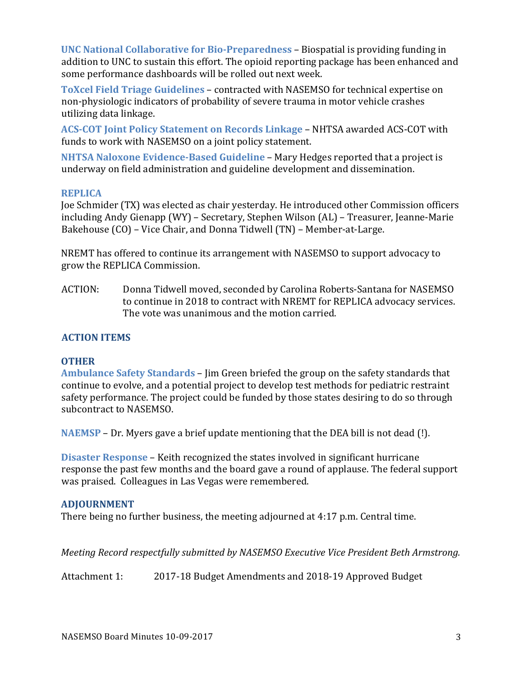**UNC National Collaborative for Bio-Preparedness** – Biospatial is providing funding in addition to UNC to sustain this effort. The opioid reporting package has been enhanced and some performance dashboards will be rolled out next week.

**ToXcel Field Triage Guidelines – contracted with NASEMSO for technical expertise on** non-physiologic indicators of probability of severe trauma in motor vehicle crashes utilizing data linkage.

**ACS-COT Joint Policy Statement on Records Linkage – NHTSA awarded ACS-COT with** funds to work with NASEMSO on a joint policy statement.

**NHTSA Naloxone Evidence-Based Guideline – Mary Hedges reported that a project is** underway on field administration and guideline development and dissemination.

#### **REPLICA**

Joe Schmider (TX) was elected as chair yesterday. He introduced other Commission officers including Andy Gienapp (WY) – Secretary, Stephen Wilson (AL) – Treasurer, Jeanne-Marie Bakehouse (CO) – Vice Chair, and Donna Tidwell (TN) – Member-at-Large.

NREMT has offered to continue its arrangement with NASEMSO to support advocacy to grow the REPLICA Commission.

ACTION: Donna Tidwell moved, seconded by Carolina Roberts-Santana for NASEMSO to continue in 2018 to contract with NREMT for REPLICA advocacy services. The vote was unanimous and the motion carried.

#### **ACTION ITEMS**

#### **OTHER**

**Ambulance Safety Standards** – Jim Green briefed the group on the safety standards that continue to evolve, and a potential project to develop test methods for pediatric restraint safety performance. The project could be funded by those states desiring to do so through subcontract to NASEMSO.

**NAEMSP** – Dr. Myers gave a brief update mentioning that the DEA bill is not dead (!).

**Disaster Response** – Keith recognized the states involved in significant hurricane response the past few months and the board gave a round of applause. The federal support was praised. Colleagues in Las Vegas were remembered.

#### **ADJOURNMENT**

There being no further business, the meeting adjourned at  $4:17$  p.m. Central time.

*Meeting Record respectfully submitted by NASEMSO Executive Vice President Beth Armstrong.* 

Attachment 1: 2017-18 Budget Amendments and 2018-19 Approved Budget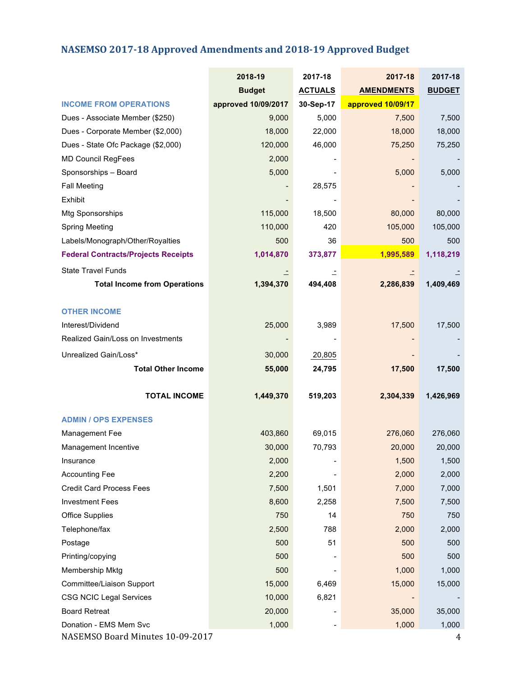# **NASEMSO 2017-18 Approved Amendments and 2018-19 Approved Budget**

|                                                | 2018-19             | 2017-18        | 2017-18           | 2017-18         |
|------------------------------------------------|---------------------|----------------|-------------------|-----------------|
|                                                | <b>Budget</b>       | <b>ACTUALS</b> | <b>AMENDMENTS</b> | <b>BUDGET</b>   |
| <b>INCOME FROM OPERATIONS</b>                  | approved 10/09/2017 | 30-Sep-17      | approved 10/09/17 |                 |
| Dues - Associate Member (\$250)                | 9,000               | 5,000          | 7,500             | 7,500           |
| Dues - Corporate Member (\$2,000)              | 18,000              | 22,000         | 18,000            | 18,000          |
| Dues - State Ofc Package (\$2,000)             | 120,000             | 46,000         | 75,250            | 75,250          |
| <b>MD Council RegFees</b>                      | 2,000               |                |                   |                 |
| Sponsorships - Board                           | 5,000               |                | 5,000             | 5,000           |
| <b>Fall Meeting</b>                            |                     | 28,575         |                   |                 |
| Exhibit                                        |                     |                |                   |                 |
| Mtg Sponsorships                               | 115,000             | 18,500         | 80,000            | 80,000          |
| <b>Spring Meeting</b>                          | 110,000             | 420            | 105,000           | 105,000         |
| Labels/Monograph/Other/Royalties               | 500                 | 36             | 500               | 500             |
| <b>Federal Contracts/Projects Receipts</b>     | 1,014,870           | 373,877        | 1,995,589         | 1,118,219       |
| <b>State Travel Funds</b>                      |                     |                |                   |                 |
| <b>Total Income from Operations</b>            | 1,394,370           | 494,408        | 2,286,839         | 1,409,469       |
|                                                |                     |                |                   |                 |
| <b>OTHER INCOME</b>                            |                     |                |                   |                 |
| Interest/Dividend                              | 25,000              | 3,989          | 17,500            | 17,500          |
| Realized Gain/Loss on Investments              |                     |                |                   |                 |
| Unrealized Gain/Loss*                          | 30,000              | 20,805         |                   |                 |
| <b>Total Other Income</b>                      | 55,000              | 24,795         | 17,500            | 17,500          |
|                                                |                     |                |                   |                 |
| <b>TOTAL INCOME</b>                            | 1,449,370           | 519,203        | 2,304,339         | 1,426,969       |
|                                                |                     |                |                   |                 |
| <b>ADMIN / OPS EXPENSES</b>                    |                     |                |                   |                 |
| Management Fee                                 | 403,860             | 69,015         | 276,060           | 276,060         |
| Management Incentive                           | 30,000              | 70,793         | 20,000            | 20,000          |
| Insurance                                      | 2,000               |                | 1,500             | 1,500           |
| <b>Accounting Fee</b>                          | 2,200               |                | 2,000             | 2,000           |
| <b>Credit Card Process Fees</b>                | 7,500               | 1,501          | 7,000             | 7,000           |
| <b>Investment Fees</b>                         | 8,600<br>750        | 2,258<br>14    | 7,500             | 7,500           |
| <b>Office Supplies</b>                         |                     | 788            | 750               | 750             |
| Telephone/fax                                  | 2,500               |                | 2,000             | 2,000           |
| Postage                                        | 500                 | 51             | 500               | 500             |
| Printing/copying                               | 500                 |                | 500               | 500             |
| Membership Mktg                                | 500                 |                | 1,000             | 1,000           |
| Committee/Liaison Support                      | 15,000              | 6,469          | 15,000            | 15,000          |
| <b>CSG NCIC Legal Services</b>                 | 10,000              | 6,821          |                   |                 |
| <b>Board Retreat</b><br>Donation - EMS Mem Svc | 20,000<br>1,000     |                | 35,000<br>1,000   | 35,000<br>1,000 |
| NASEMSO Board Minutes 10-09-2017               |                     |                |                   | 4               |